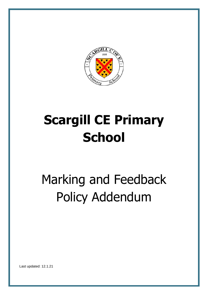

# **Scargill CE Primary School**

# Marking and Feedback Policy Addendum

Last updated: 12.1.21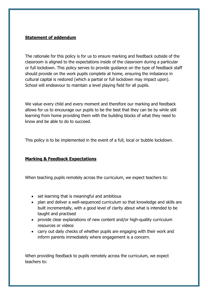#### **Statement of addendum**

The rationale for this policy is for us to ensure marking and feedback outside of the classroom is aligned to the expectations inside of the classroom during a particular or full lockdown. This policy serves to provide guidance on the type of feedback staff should provide on the work pupils complete at home, ensuring the imbalance in cultural capital is restored (which a partial or full lockdown may impact upon). School will endeavour to maintain a level playing field for all pupils.

We value every child and every moment and therefore our marking and feedback allows for us to encourage our pupils to be the best that they can be by while still learning from home providing them with the building blocks of what they need to know and be able to do to succeed.

This policy is to be implemented in the event of a full, local or bubble lockdown.

### **Marking & Feedback Expectations**

When teaching pupils remotely across the curriculum, we expect teachers to:

- set learning that is meaningful and ambitious
- plan and deliver a well-sequenced curriculum so that knowledge and skills are built incrementally, with a good level of clarity about what is intended to be taught and practised
- provide clear explanations of new content and/or high-quality curriculum resources or videos
- carry out daily checks of whether pupils are engaging with their work and inform parents immediately where engagement is a concern.

When providing feedback to pupils remotely across the curriculum, we expect teachers to: